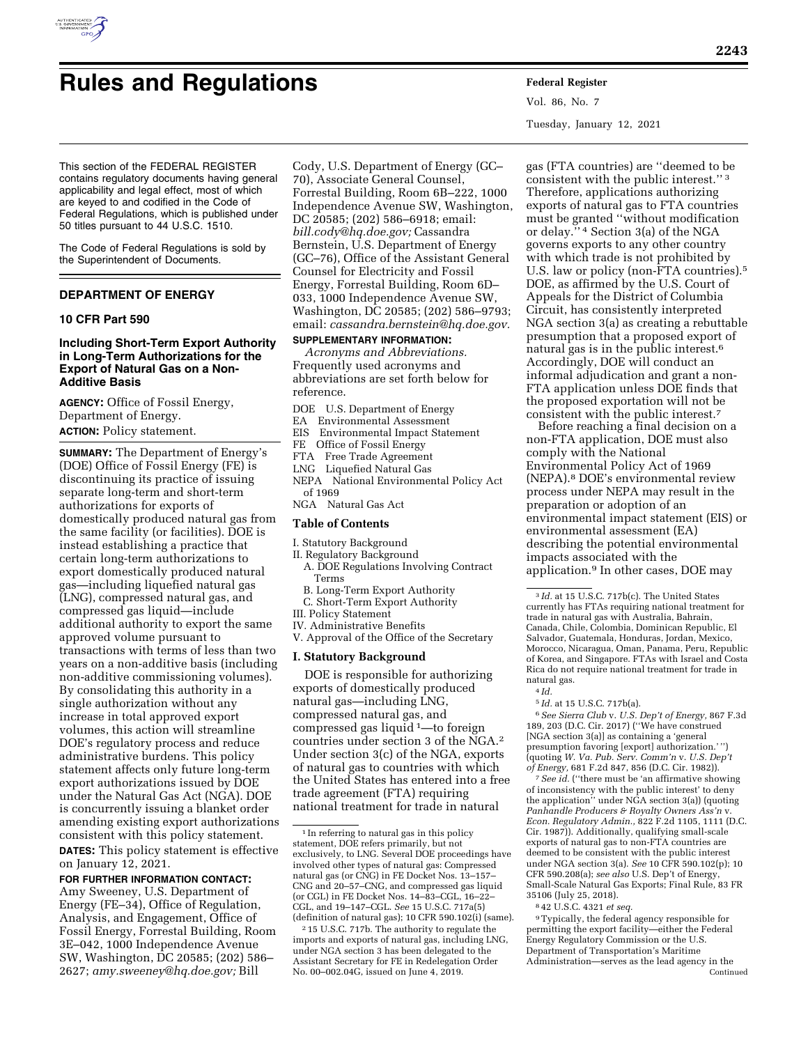

# **Rules and Regulations Federal Register**

Vol. 86, No. 7 Tuesday, January 12, 2021

This section of the FEDERAL REGISTER contains regulatory documents having general applicability and legal effect, most of which are keyed to and codified in the Code of Federal Regulations, which is published under 50 titles pursuant to 44 U.S.C. 1510.

The Code of Federal Regulations is sold by the Superintendent of Documents.

# **DEPARTMENT OF ENERGY**

## **10 CFR Part 590**

## **Including Short-Term Export Authority in Long-Term Authorizations for the Export of Natural Gas on a Non-Additive Basis**

**AGENCY:** Office of Fossil Energy, Department of Energy. **ACTION:** Policy statement.

**SUMMARY:** The Department of Energy's (DOE) Office of Fossil Energy (FE) is discontinuing its practice of issuing separate long-term and short-term authorizations for exports of domestically produced natural gas from the same facility (or facilities). DOE is instead establishing a practice that certain long-term authorizations to export domestically produced natural gas—including liquefied natural gas (LNG), compressed natural gas, and compressed gas liquid—include additional authority to export the same approved volume pursuant to transactions with terms of less than two years on a non-additive basis (including non-additive commissioning volumes). By consolidating this authority in a single authorization without any increase in total approved export volumes, this action will streamline DOE's regulatory process and reduce administrative burdens. This policy statement affects only future long-term export authorizations issued by DOE under the Natural Gas Act (NGA). DOE is concurrently issuing a blanket order amending existing export authorizations consistent with this policy statement. **DATES:** This policy statement is effective on January 12, 2021.

**FOR FURTHER INFORMATION CONTACT:**  Amy Sweeney, U.S. Department of Energy (FE–34), Office of Regulation, Analysis, and Engagement, Office of Fossil Energy, Forrestal Building, Room 3E–042, 1000 Independence Avenue SW, Washington, DC 20585; (202) 586– 2627; *[amy.sweeney@hq.doe.gov;](mailto:amy.sweeney@hq.doe.gov)* Bill

Cody, U.S. Department of Energy (GC– 70), Associate General Counsel, Forrestal Building, Room 6B–222, 1000 Independence Avenue SW, Washington, DC 20585; (202) 586–6918; email: *[bill.cody@hq.doe.gov;](mailto:bill.cody@hq.doe.gov)* Cassandra Bernstein, U.S. Department of Energy (GC–76), Office of the Assistant General Counsel for Electricity and Fossil Energy, Forrestal Building, Room 6D– 033, 1000 Independence Avenue SW, Washington, DC 20585; (202) 586–9793; email: *[cassandra.bernstein@hq.doe.gov.](mailto:cassandra.bernstein@hq.doe.gov)* 

# **SUPPLEMENTARY INFORMATION:**

*Acronyms and Abbreviations.*  Frequently used acronyms and abbreviations are set forth below for reference.

- DOE U.S. Department of Energy<br>EA Environmental Assessment
- EA Environmental Assessment<br>EIS Environmental Impact State
- EIS Environmental Impact Statement<br>FE Office of Fossil Energy
- Office of Fossil Energy
- FTA Free Trade Agreement
- LNG Liquefied Natural Gas
- NEPA National Environmental Policy Act of 1969
- NGA Natural Gas Act

#### **Table of Contents**

- I. Statutory Background
- II. Regulatory Background
- A. DOE Regulations Involving Contract Terms
- B. Long-Term Export Authority
- C. Short-Term Export Authority
- III. Policy Statement
- IV. Administrative Benefits
- V. Approval of the Office of the Secretary

#### **I. Statutory Background**

DOE is responsible for authorizing exports of domestically produced natural gas—including LNG, compressed natural gas, and compressed gas liquid 1—to foreign countries under section 3 of the NGA.2 Under section 3(c) of the NGA, exports of natural gas to countries with which the United States has entered into a free trade agreement (FTA) requiring national treatment for trade in natural

gas (FTA countries) are ''deemed to be consistent with the public interest.'' 3 Therefore, applications authorizing exports of natural gas to FTA countries must be granted ''without modification or delay.'' 4 Section 3(a) of the NGA governs exports to any other country with which trade is not prohibited by U.S. law or policy (non-FTA countries).5 DOE, as affirmed by the U.S. Court of Appeals for the District of Columbia Circuit, has consistently interpreted NGA section 3(a) as creating a rebuttable presumption that a proposed export of natural gas is in the public interest.6 Accordingly, DOE will conduct an informal adjudication and grant a non-FTA application unless DOE finds that the proposed exportation will not be consistent with the public interest.7

Before reaching a final decision on a non-FTA application, DOE must also comply with the National Environmental Policy Act of 1969 (NEPA).8 DOE's environmental review process under NEPA may result in the preparation or adoption of an environmental impact statement (EIS) or environmental assessment (EA) describing the potential environmental impacts associated with the application.9 In other cases, DOE may

5 *Id.* at 15 U.S.C. 717b(a).

6*See Sierra Club* v. *U.S. Dep't of Energy,* 867 F.3d 189, 203 (D.C. Cir. 2017) (''We have construed [NGA section 3(a)] as containing a 'general presumption favoring [export] authorization.' '') (quoting *W. Va. Pub. Serv. Comm'n* v. *U.S. Dep't of Energy,* 681 F.2d 847, 856 (D.C. Cir. 1982)).

7*See id.* (''there must be 'an affirmative showing of inconsistency with the public interest' to deny the application'' under NGA section 3(a)) (quoting *Panhandle Producers & Royalty Owners Ass'n* v. *Econ. Regulatory Admin.,* 822 F.2d 1105, 1111 (D.C. Cir. 1987)). Additionally, qualifying small-scale exports of natural gas to non-FTA countries are deemed to be consistent with the public interest under NGA section 3(a). *See* 10 CFR 590.102(p); 10 CFR 590.208(a); *see also* U.S. Dep't of Energy, Small-Scale Natural Gas Exports; Final Rule, 83 FR 35106 (July 25, 2018).

8 42 U.S.C. 4321 *et seq.* 

9Typically, the federal agency responsible for permitting the export facility—either the Federal Energy Regulatory Commission or the U.S. Department of Transportation's Maritime Administration—serves as the lead agency in the Continued

<sup>&</sup>lt;sup>1</sup> In referring to natural gas in this policy statement, DOE refers primarily, but not exclusively, to LNG. Several DOE proceedings have involved other types of natural gas: Compressed natural gas (or CNG) in FE Docket Nos. 13–157– CNG and 20–57–CNG, and compressed gas liquid (or CGL) in FE Docket Nos. 14–83–CGL, 16–22– CGL, and 19–147–CGL. *See* 15 U.S.C. 717a(5) (definition of natural gas); 10 CFR 590.102(i) (same).

<sup>2</sup> 15 U.S.C. 717b. The authority to regulate the imports and exports of natural gas, including LNG, under NGA section 3 has been delegated to the Assistant Secretary for FE in Redelegation Order No. 00–002.04G, issued on June 4, 2019.

<sup>3</sup> *Id.* at 15 U.S.C. 717b(c). The United States currently has FTAs requiring national treatment for trade in natural gas with Australia, Bahrain, Canada, Chile, Colombia, Dominican Republic, El Salvador, Guatemala, Honduras, Jordan, Mexico, Morocco, Nicaragua, Oman, Panama, Peru, Republic of Korea, and Singapore. FTAs with Israel and Costa Rica do not require national treatment for trade in natural gas.

<sup>4</sup> *Id.*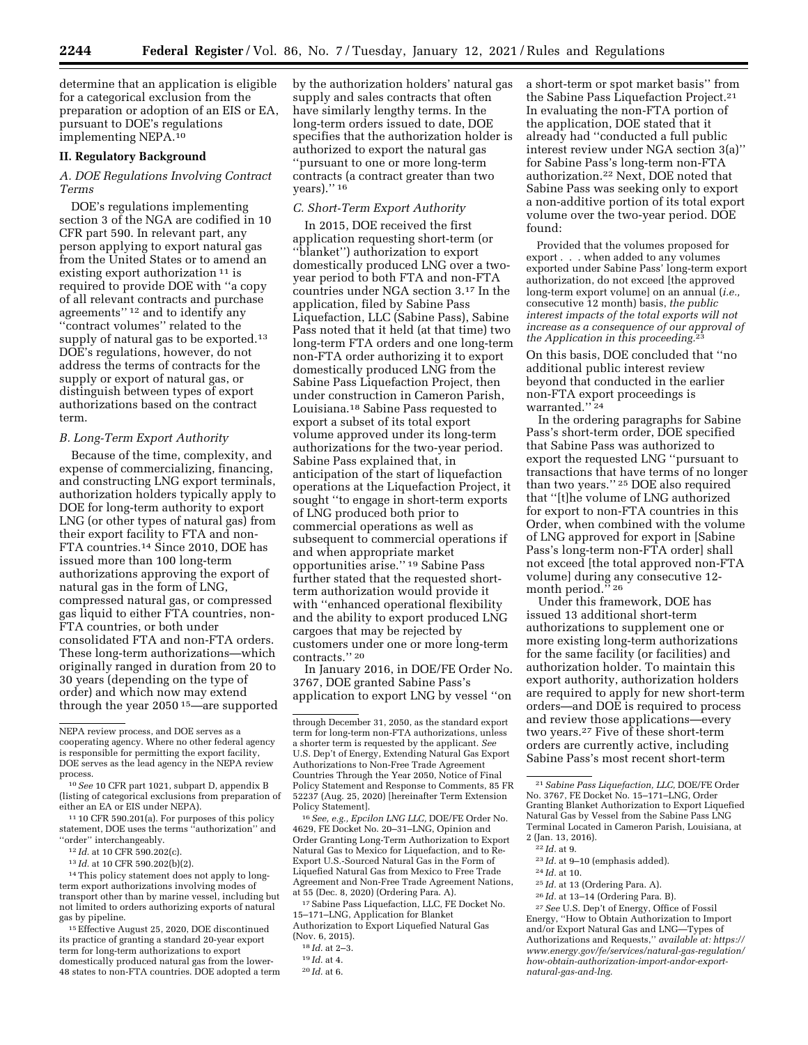determine that an application is eligible for a categorical exclusion from the preparation or adoption of an EIS or EA, pursuant to DOE's regulations implementing NEPA.10

#### **II. Regulatory Background**

## *A. DOE Regulations Involving Contract Terms*

DOE's regulations implementing section 3 of the NGA are codified in 10 CFR part 590. In relevant part, any person applying to export natural gas from the United States or to amend an existing export authorization 11 is required to provide DOE with ''a copy of all relevant contracts and purchase agreements'' 12 and to identify any ''contract volumes'' related to the supply of natural gas to be exported.13 DOE's regulations, however, do not address the terms of contracts for the supply or export of natural gas, or distinguish between types of export authorizations based on the contract term.

#### *B. Long-Term Export Authority*

Because of the time, complexity, and expense of commercializing, financing, and constructing LNG export terminals, authorization holders typically apply to DOE for long-term authority to export LNG (or other types of natural gas) from their export facility to FTA and non-FTA countries.14 Since 2010, DOE has issued more than 100 long-term authorizations approving the export of natural gas in the form of LNG, compressed natural gas, or compressed gas liquid to either FTA countries, non-FTA countries, or both under consolidated FTA and non-FTA orders. These long-term authorizations—which originally ranged in duration from 20 to 30 years (depending on the type of order) and which now may extend through the year 2050 15—are supported

11 10 CFR 590.201(a). For purposes of this policy statement, DOE uses the terms ''authorization'' and ''order'' interchangeably.

12 *Id.* at 10 CFR 590.202(c).

13 *Id.* at 10 CFR 590.202(b)(2).

14This policy statement does not apply to longterm export authorizations involving modes of transport other than by marine vessel, including but not limited to orders authorizing exports of natural gas by pipeline.

15Effective August 25, 2020, DOE discontinued its practice of granting a standard 20-year export term for long-term authorizations to export domestically produced natural gas from the lower-48 states to non-FTA countries. DOE adopted a term by the authorization holders' natural gas supply and sales contracts that often have similarly lengthy terms. In the long-term orders issued to date, DOE specifies that the authorization holder is authorized to export the natural gas ''pursuant to one or more long-term contracts (a contract greater than two years).'' 16

## *C. Short-Term Export Authority*

In 2015, DOE received the first application requesting short-term (or ''blanket'') authorization to export domestically produced LNG over a twoyear period to both FTA and non-FTA countries under NGA section 3.17 In the application, filed by Sabine Pass Liquefaction, LLC (Sabine Pass), Sabine Pass noted that it held (at that time) two long-term FTA orders and one long-term non-FTA order authorizing it to export domestically produced LNG from the Sabine Pass Liquefaction Project, then under construction in Cameron Parish, Louisiana.18 Sabine Pass requested to export a subset of its total export volume approved under its long-term authorizations for the two-year period. Sabine Pass explained that, in anticipation of the start of liquefaction operations at the Liquefaction Project, it sought ''to engage in short-term exports of LNG produced both prior to commercial operations as well as subsequent to commercial operations if and when appropriate market opportunities arise.'' 19 Sabine Pass further stated that the requested shortterm authorization would provide it with ''enhanced operational flexibility and the ability to export produced LNG cargoes that may be rejected by customers under one or more long-term contracts.'' 20

In January 2016, in DOE/FE Order No. 3767, DOE granted Sabine Pass's application to export LNG by vessel ''on

16*See, e.g., Epcilon LNG LLC,* DOE/FE Order No. 4629, FE Docket No. 20–31–LNG, Opinion and Order Granting Long-Term Authorization to Export Natural Gas to Mexico for Liquefaction, and to Re-Export U.S.-Sourced Natural Gas in the Form of Liquefied Natural Gas from Mexico to Free Trade Agreement and Non-Free Trade Agreement Nations, at 55 (Dec. 8, 2020) (Ordering Para. A).

17Sabine Pass Liquefaction, LLC, FE Docket No. 15–171–LNG, Application for Blanket Authorization to Export Liquefied Natural Gas (Nov. 6, 2015).

- 
- 20 *Id.* at 6.

a short-term or spot market basis'' from the Sabine Pass Liquefaction Project.21 In evaluating the non-FTA portion of the application, DOE stated that it already had ''conducted a full public interest review under NGA section 3(a)'' for Sabine Pass's long-term non-FTA authorization.22 Next, DOE noted that Sabine Pass was seeking only to export a non-additive portion of its total export volume over the two-year period. DOE found:

Provided that the volumes proposed for export . . . when added to any volumes exported under Sabine Pass' long-term export authorization, do not exceed [the approved long-term export volume] on an annual (*i.e.,*  consecutive 12 month) basis, *the public interest impacts of the total exports will not increase as a consequence of our approval of the Application in this proceeding.*23

On this basis, DOE concluded that ''no additional public interest review beyond that conducted in the earlier non-FTA export proceedings is warranted.'' 24

In the ordering paragraphs for Sabine Pass's short-term order, DOE specified that Sabine Pass was authorized to export the requested LNG ''pursuant to transactions that have terms of no longer than two years.'' 25 DOE also required that ''[t]he volume of LNG authorized for export to non-FTA countries in this Order, when combined with the volume of LNG approved for export in [Sabine Pass's long-term non-FTA order] shall not exceed [the total approved non-FTA volume] during any consecutive 12 month period."<sup>26</sup>

Under this framework, DOE has issued 13 additional short-term authorizations to supplement one or more existing long-term authorizations for the same facility (or facilities) and authorization holder. To maintain this export authority, authorization holders are required to apply for new short-term orders—and DOE is required to process and review those applications—every two years.27 Five of these short-term orders are currently active, including Sabine Pass's most recent short-term

- 23 *Id.* at 9–10 (emphasis added).
- 24 *Id.* at 10.
- 25 *Id.* at 13 (Ordering Para. A).
- 26 *Id.* at 13–14 (Ordering Para. B).

NEPA review process, and DOE serves as a cooperating agency. Where no other federal agency is responsible for permitting the export facility, DOE serves as the lead agency in the NEPA review process.

<sup>10</sup>*See* 10 CFR part 1021, subpart D, appendix B (listing of categorical exclusions from preparation of either an EA or EIS under NEPA).

through December 31, 2050, as the standard export term for long-term non-FTA authorizations, unless a shorter term is requested by the applicant. *See*  U.S. Dep't of Energy, Extending Natural Gas Export Authorizations to Non-Free Trade Agreement Countries Through the Year 2050, Notice of Final Policy Statement and Response to Comments, 85 FR 52237 (Aug. 25, 2020) [hereinafter Term Extension Policy Statement].

<sup>18</sup> *Id.* at 2–3.

<sup>19</sup> *Id.* at 4.

<sup>21</sup>*Sabine Pass Liquefaction, LLC,* DOE/FE Order No. 3767, FE Docket No. 15–171–LNG, Order Granting Blanket Authorization to Export Liquefied Natural Gas by Vessel from the Sabine Pass LNG Terminal Located in Cameron Parish, Louisiana, at 2 (Jan. 13, 2016).

<sup>22</sup> *Id.* at 9.

<sup>27</sup>*See* U.S. Dep't of Energy, Office of Fossil Energy, ''How to Obtain Authorization to Import and/or Export Natural Gas and LNG—Types of Authorizations and Requests,'' *available at: [https://](https://www.energy.gov/fe/services/natural-gas-regulation/how-obtain-authorization-import-andor-export-natural-gas-and-lng) [www.energy.gov/fe/services/natural-gas-regulation/](https://www.energy.gov/fe/services/natural-gas-regulation/how-obtain-authorization-import-andor-export-natural-gas-and-lng)  [how-obtain-authorization-import-andor-export](https://www.energy.gov/fe/services/natural-gas-regulation/how-obtain-authorization-import-andor-export-natural-gas-and-lng)[natural-gas-and-lng.](https://www.energy.gov/fe/services/natural-gas-regulation/how-obtain-authorization-import-andor-export-natural-gas-and-lng)*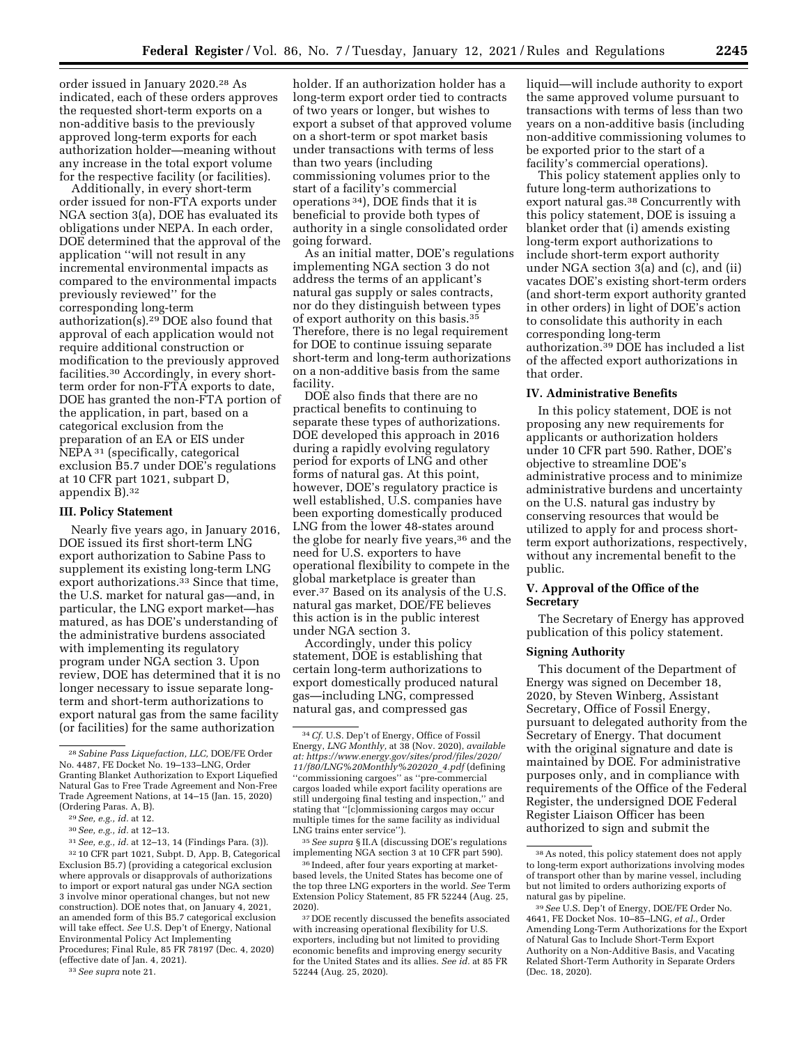order issued in January 2020.28 As indicated, each of these orders approves the requested short-term exports on a non-additive basis to the previously approved long-term exports for each authorization holder—meaning without any increase in the total export volume for the respective facility (or facilities).

Additionally, in every short-term order issued for non-FTA exports under NGA section 3(a), DOE has evaluated its obligations under NEPA. In each order, DOE determined that the approval of the application ''will not result in any incremental environmental impacts as compared to the environmental impacts previously reviewed'' for the corresponding long-term authorization(s).29 DOE also found that approval of each application would not require additional construction or modification to the previously approved facilities.30 Accordingly, in every shortterm order for non-FTA exports to date, DOE has granted the non-FTA portion of the application, in part, based on a categorical exclusion from the preparation of an EA or EIS under NEPA 31 (specifically, categorical exclusion B5.7 under DOE's regulations at 10 CFR part 1021, subpart D, appendix B).32

#### **III. Policy Statement**

Nearly five years ago, in January 2016, DOE issued its first short-term LNG export authorization to Sabine Pass to supplement its existing long-term LNG export authorizations.<sup>33</sup> Since that time, the U.S. market for natural gas—and, in particular, the LNG export market—has matured, as has DOE's understanding of the administrative burdens associated with implementing its regulatory program under NGA section 3. Upon review, DOE has determined that it is no longer necessary to issue separate longterm and short-term authorizations to export natural gas from the same facility (or facilities) for the same authorization

31*See, e.g., id.* at 12–13, 14 (Findings Para. (3)). 32 10 CFR part 1021, Subpt. D, App. B, Categorical Exclusion B5.7) (providing a categorical exclusion where approvals or disapprovals of authorizations to import or export natural gas under NGA section 3 involve minor operational changes, but not new construction). DOE notes that, on January 4, 2021, an amended form of this B5.7 categorical exclusion will take effect. *See* U.S. Dep't of Energy, National Environmental Policy Act Implementing Procedures; Final Rule, 85 FR 78197 (Dec. 4, 2020) (effective date of Jan. 4, 2021).

33*See supra* note 21.

holder. If an authorization holder has a long-term export order tied to contracts of two years or longer, but wishes to export a subset of that approved volume on a short-term or spot market basis under transactions with terms of less than two years (including commissioning volumes prior to the start of a facility's commercial operations 34), DOE finds that it is beneficial to provide both types of authority in a single consolidated order going forward.

As an initial matter, DOE's regulations implementing NGA section 3 do not address the terms of an applicant's natural gas supply or sales contracts, nor do they distinguish between types of export authority on this basis.35 Therefore, there is no legal requirement for DOE to continue issuing separate short-term and long-term authorizations on a non-additive basis from the same facility.

DOE also finds that there are no practical benefits to continuing to separate these types of authorizations. DOE developed this approach in 2016 during a rapidly evolving regulatory period for exports of LNG and other forms of natural gas. At this point, however, DOE's regulatory practice is well established, U.S. companies have been exporting domestically produced LNG from the lower 48-states around the globe for nearly five years,<sup>36</sup> and the need for U.S. exporters to have operational flexibility to compete in the global marketplace is greater than ever.37 Based on its analysis of the U.S. natural gas market, DOE/FE believes this action is in the public interest under NGA section 3.

Accordingly, under this policy statement, DOE is establishing that certain long-term authorizations to export domestically produced natural gas—including LNG, compressed natural gas, and compressed gas

35*See supra* § II.A (discussing DOE's regulations implementing NGA section 3 at 10 CFR part 590).

36 Indeed, after four years exporting at marketbased levels, the United States has become one of the top three LNG exporters in the world. *See* Term Extension Policy Statement, 85 FR 52244 (Aug. 25, 2020).

<sup>37</sup> DOE recently discussed the benefits associated with increasing operational flexibility for U.S. exporters, including but not limited to providing economic benefits and improving energy security for the United States and its allies. *See id.* at 85 FR 52244 (Aug. 25, 2020).

liquid—will include authority to export the same approved volume pursuant to transactions with terms of less than two years on a non-additive basis (including non-additive commissioning volumes to be exported prior to the start of a facility's commercial operations).

This policy statement applies only to future long-term authorizations to export natural gas.38 Concurrently with this policy statement, DOE is issuing a blanket order that (i) amends existing long-term export authorizations to include short-term export authority under NGA section 3(a) and (c), and (ii) vacates DOE's existing short-term orders (and short-term export authority granted in other orders) in light of DOE's action to consolidate this authority in each corresponding long-term authorization.39 DOE has included a list of the affected export authorizations in that order.

#### **IV. Administrative Benefits**

In this policy statement, DOE is not proposing any new requirements for applicants or authorization holders under 10 CFR part 590. Rather, DOE's objective to streamline DOE's administrative process and to minimize administrative burdens and uncertainty on the U.S. natural gas industry by conserving resources that would be utilized to apply for and process shortterm export authorizations, respectively, without any incremental benefit to the public.

#### **V. Approval of the Office of the Secretary**

The Secretary of Energy has approved publication of this policy statement.

#### **Signing Authority**

This document of the Department of Energy was signed on December 18, 2020, by Steven Winberg, Assistant Secretary, Office of Fossil Energy, pursuant to delegated authority from the Secretary of Energy. That document with the original signature and date is maintained by DOE. For administrative purposes only, and in compliance with requirements of the Office of the Federal Register, the undersigned DOE Federal Register Liaison Officer has been authorized to sign and submit the

<sup>28</sup>*Sabine Pass Liquefaction, LLC,* DOE/FE Order No. 4487, FE Docket No. 19–133–LNG, Order Granting Blanket Authorization to Export Liquefied Natural Gas to Free Trade Agreement and Non-Free Trade Agreement Nations, at 14–15 (Jan. 15, 2020) (Ordering Paras. A, B).

<sup>29</sup>*See, e.g., id.* at 12.

<sup>30</sup>*See, e.g., id.* at 12–13.

<sup>34</sup>*Cf.* U.S. Dep't of Energy, Office of Fossil Energy, *LNG Monthly,* at 38 (Nov. 2020), *available at: [https://www.energy.gov/sites/prod/files/2020/](https://www.energy.gov/sites/prod/files/2020/11/f80/LNG%20Monthly%202020_4.pdf)  [11/f80/LNG%20Monthly%202020](https://www.energy.gov/sites/prod/files/2020/11/f80/LNG%20Monthly%202020_4.pdf)*\_*4.pdf* (defining ''commissioning cargoes'' as ''pre-commercial cargos loaded while export facility operations are still undergoing final testing and inspection,'' and stating that ''[c]ommissioning cargos may occur multiple times for the same facility as individual LNG trains enter service'').

<sup>38</sup>As noted, this policy statement does not apply to long-term export authorizations involving modes of transport other than by marine vessel, including but not limited to orders authorizing exports of natural gas by pipeline.

<sup>39</sup>*See* U.S. Dep't of Energy, DOE/FE Order No. 4641, FE Docket Nos. 10–85–LNG, *et al.,* Order Amending Long-Term Authorizations for the Export of Natural Gas to Include Short-Term Export Authority on a Non-Additive Basis, and Vacating Related Short-Term Authority in Separate Orders (Dec. 18, 2020).